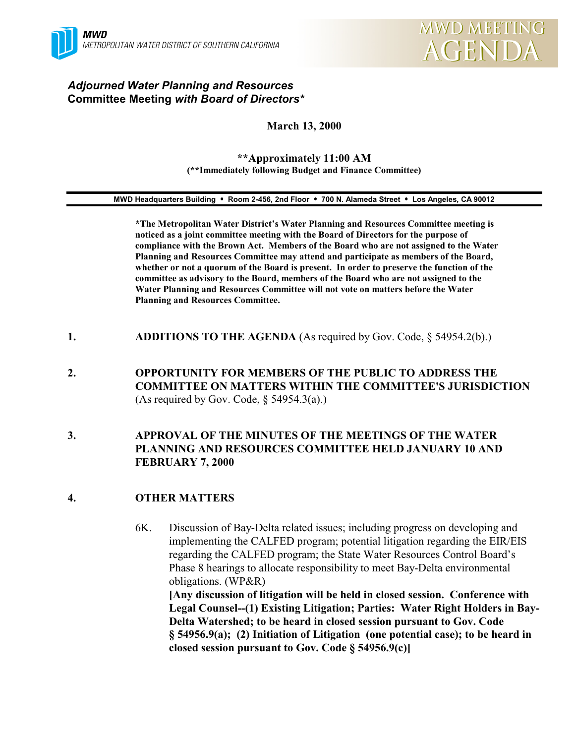

### *Adjourned Water Planning and Resources* **Committee Meeting** *with Board of Directors\**

#### **March 13, 2000**

#### **\*\*Approximately 11:00 AM (\*\*Immediately following Budget and Finance Committee)**

#### **MWD Headquarters Building** ! **Room 2-456, 2nd Floor** ! **700 N. Alameda Street** ! **Los Angeles, CA 90012**

**\*The Metropolitan Water District's Water Planning and Resources Committee meeting is noticed as a joint committee meeting with the Board of Directors for the purpose of compliance with the Brown Act. Members of the Board who are not assigned to the Water Planning and Resources Committee may attend and participate as members of the Board, whether or not a quorum of the Board is present. In order to preserve the function of the committee as advisory to the Board, members of the Board who are not assigned to the Water Planning and Resources Committee will not vote on matters before the Water Planning and Resources Committee.**

- **1. ADDITIONS TO THE AGENDA** (As required by Gov. Code, § 54954.2(b).)
- **2. OPPORTUNITY FOR MEMBERS OF THE PUBLIC TO ADDRESS THE COMMITTEE ON MATTERS WITHIN THE COMMITTEE'S JURISDICTION** (As required by Gov. Code,  $\S$  54954.3(a).)

#### **3. APPROVAL OF THE MINUTES OF THE MEETINGS OF THE WATER PLANNING AND RESOURCES COMMITTEE HELD JANUARY 10 AND FEBRUARY 7, 2000**

#### **4. OTHER MATTERS**

6K. Discussion of Bay-Delta related issues; including progress on developing and implementing the CALFED program; potential litigation regarding the EIR/EIS regarding the CALFED program; the State Water Resources Control Board's Phase 8 hearings to allocate responsibility to meet Bay-Delta environmental obligations. (WP&R) **[Any discussion of litigation will be held in closed session. Conference with Legal Counsel--(1) Existing Litigation; Parties: Water Right Holders in Bay-Delta Watershed; to be heard in closed session pursuant to Gov. Code § 54956.9(a); (2) Initiation of Litigation (one potential case); to be heard in closed session pursuant to Gov. Code § 54956.9(c)]**